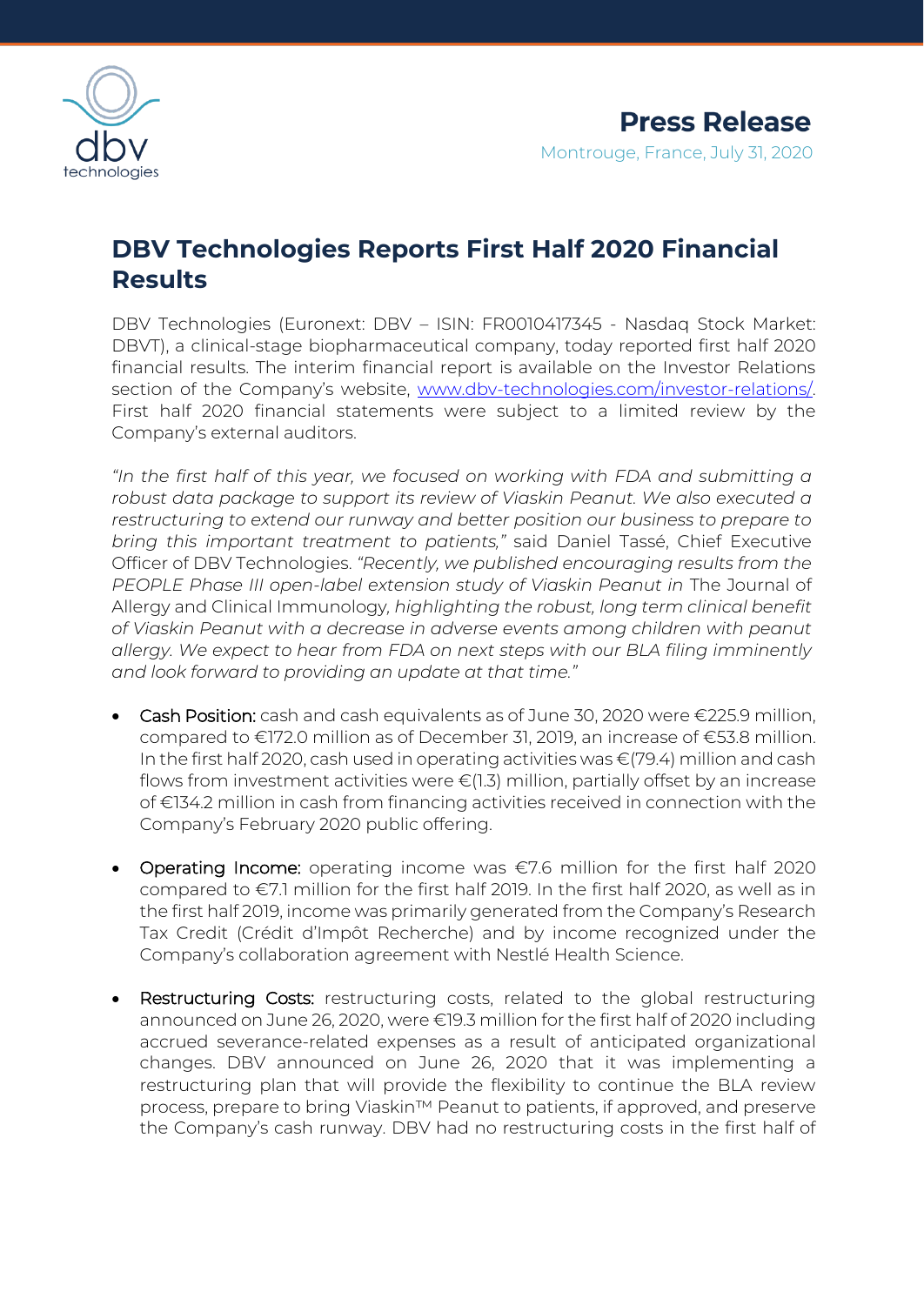

## **DBV Technologies Reports First Half 2020 Financial Results**

DBV Technologies (Euronext: DBV – ISIN: FR0010417345 - Nasdaq Stock Market: DBVT), a clinical-stage biopharmaceutical company, today reported first half 2020 financial results. The interim financial report is available on the Investor Relations section of the Company's website, www.dbv-technologies.com/investor-relations/ First half 2020 financial statements were subject to a limited review by the Company's external auditors.

*"In the first half of this year, we focused on working with FDA and submitting a robust data package to support its review of Viaskin Peanut. We also executed a restructuring to extend our runway and better position our business to prepare to bring this important treatment to patients,"* said Daniel Tassé, Chief Executive Officer of DBV Technologies. *"Recently, we published encouraging results from the PEOPLE Phase III open-label extension study of Viaskin Peanut in The Journal of* Allergy and Clinical Immunology*, highlighting the robust, long term clinical benefit of Viaskin Peanut with a decrease in adverse events among children with peanut allergy. We expect to hear from FDA on next steps with our BLA filing imminently and look forward to providing an update at that time."*

- Cash Position: cash and cash equivalents as of June 30, 2020 were €225.9 million, compared to €172.0 million as of December 31, 2019, an increase of €53.8 million. In the first half 2020, cash used in operating activities was €(79.4) million and cash flows from investment activities were  $\epsilon$ (1.3) million, partially offset by an increase of €134.2 million in cash from financing activities received in connection with the Company's February 2020 public offering.
- Operating Income: operating income was €7.6 million for the first half 2020 compared to €7.1 million for the first half 2019. In the first half 2020, as well as in the first half 2019, income was primarily generated from the Company's Research Tax Credit (Crédit d'Impôt Recherche) and by income recognized under the Company's collaboration agreement with Nestlé Health Science.
- Restructuring Costs: restructuring costs, related to the global restructuring announced on June 26, 2020, were €19.3 million for the first half of 2020 including accrued severance-related expenses as a result of anticipated organizational changes. DBV announced on June 26, 2020 that it was implementing a restructuring plan that will provide the flexibility to continue the BLA review process, prepare to bring Viaskin™ Peanut to patients, if approved, and preserve the Company's cash runway. DBV had no restructuring costs in the first half of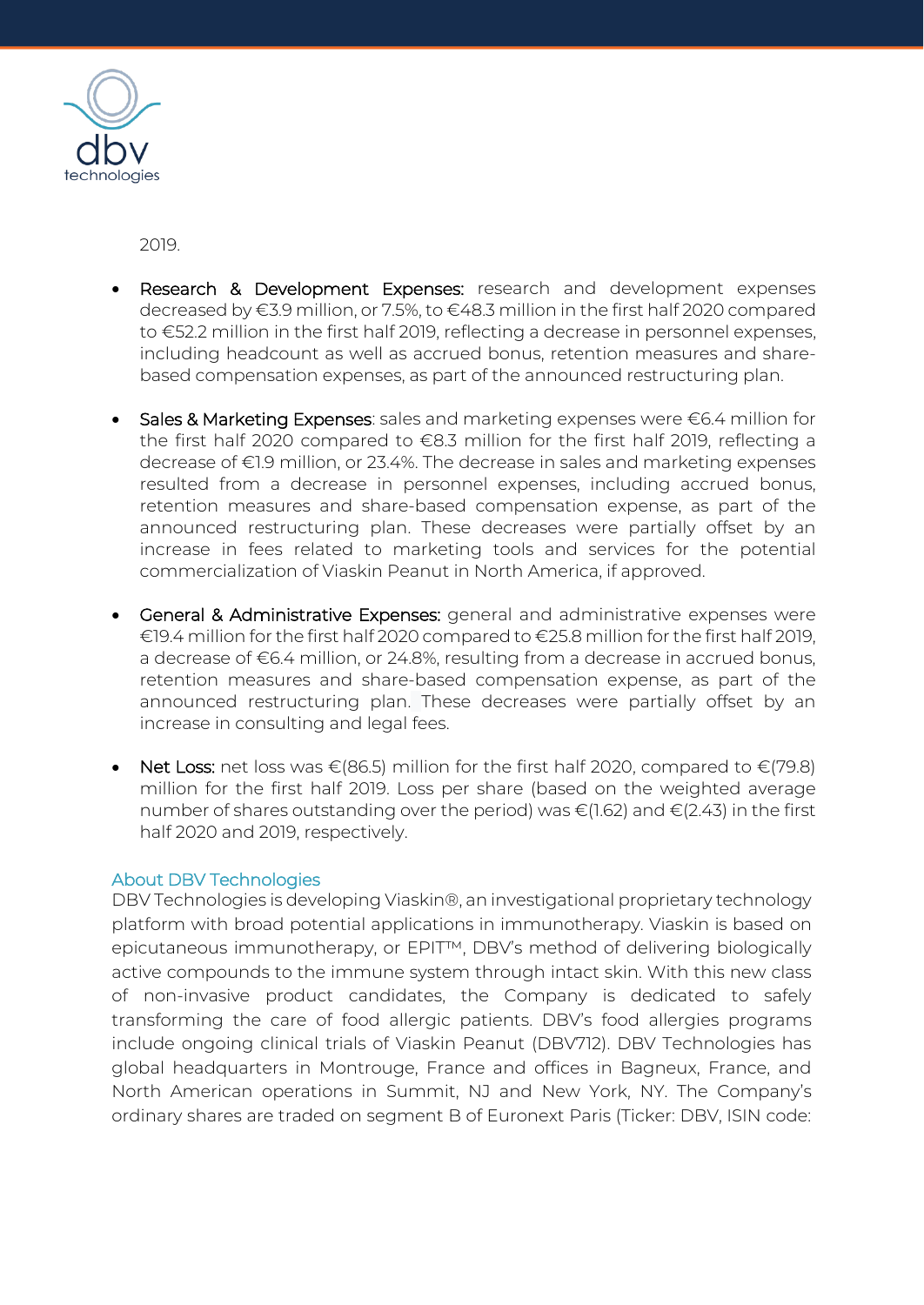

2019.

- Research & Development Expenses: research and development expenses decreased by €3.9 million, or 7.5%, to €48.3 million in the first half 2020 compared to €52.2 million in the first half 2019, reflecting a decrease in personnel expenses, including headcount as well as accrued bonus, retention measures and sharebased compensation expenses, as part of the announced restructuring plan.
- Sales & Marketing Expenses: sales and marketing expenses were €6.4 million for the first half 2020 compared to €8.3 million for the first half 2019, reflecting a decrease of €1.9 million, or 23.4%. The decrease in sales and marketing expenses resulted from a decrease in personnel expenses, including accrued bonus, retention measures and share-based compensation expense, as part of the announced restructuring plan. These decreases were partially offset by an increase in fees related to marketing tools and services for the potential commercialization of Viaskin Peanut in North America, if approved.
- General & Administrative Expenses: general and administrative expenses were €19.4 million for the first half 2020 compared to €25.8 million for the first half 2019, a decrease of €6.4 million, or 24.8%, resulting from a decrease in accrued bonus, retention measures and share-based compensation expense, as part of the announced restructuring plan. These decreases were partially offset by an increase in consulting and legal fees.
- Net Loss: net loss was  $\epsilon$ (86.5) million for the first half 2020, compared to  $\epsilon$ (79.8) million for the first half 2019. Loss per share (based on the weighted average number of shares outstanding over the period) was €(1.62) and €(2.43) in the first half 2020 and 2019, respectively.

## About DBV Technologies

DBV Technologies is developing Viaskin®, an investigational proprietary technology platform with broad potential applications in immunotherapy. Viaskin is based on epicutaneous immunotherapy, or EPIT™, DBV's method of delivering biologically active compounds to the immune system through intact skin. With this new class of non-invasive product candidates, the Company is dedicated to safely transforming the care of food allergic patients. DBV's food allergies programs include ongoing clinical trials of Viaskin Peanut (DBV712). DBV Technologies has global headquarters in Montrouge, France and offices in Bagneux, France, and North American operations in Summit, NJ and New York, NY. The Company's ordinary shares are traded on segment B of Euronext Paris (Ticker: DBV, ISIN code: